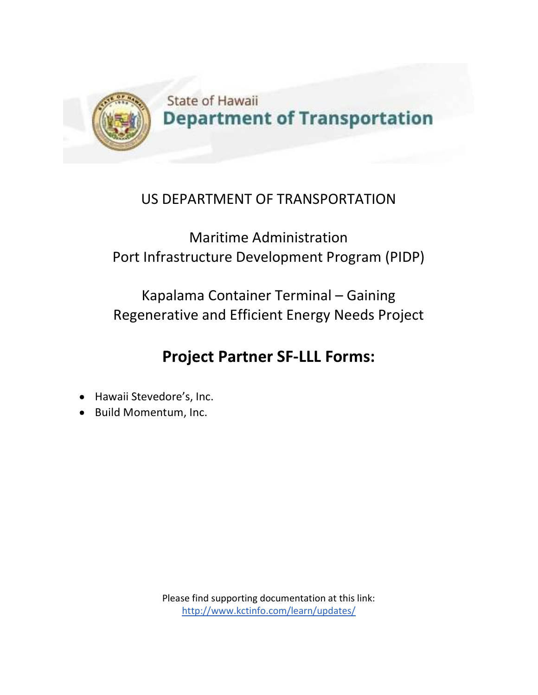

## US DEPARTMENT OF TRANSPORTATION

Maritime Administration Port Infrastructure Development Program (PIDP)

Kapalama Container Terminal – Gaining Regenerative and Efficient Energy Needs Project

## **Project Partner SF-LLL Forms:**

- Hawaii Stevedore's, Inc.
- Build Momentum, Inc.

Please find supporting documentation at this link: http://www.kctinfo.com/learn/updates/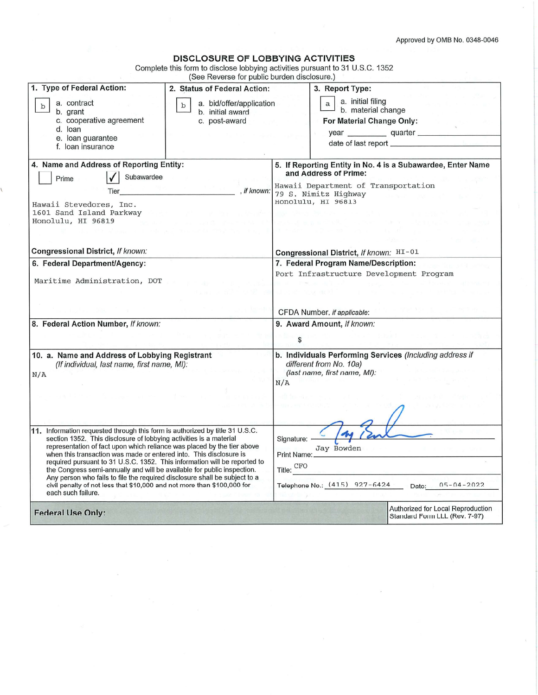Approved by OMB No. 0348-0046

| <b>DISCLOSURE OF LOBBYING ACTIVITIES</b> |  |  |  |  |  |  |  |  |  |  |  |  |  |
|------------------------------------------|--|--|--|--|--|--|--|--|--|--|--|--|--|
|                                          |  |  |  |  |  |  |  |  |  |  |  |  |  |

Complete this form to disclose lobbying activities pursuant to 31 U.S.C. 1352

|                                                                                                                                                                                                                                                                                                                                                                                                                                                                                                                                                                                                                                            | (See Reverse for public burden disclosure.)                                  |                                                                                                                                                                           |                                                                                                                     |  |  |  |  |  |
|--------------------------------------------------------------------------------------------------------------------------------------------------------------------------------------------------------------------------------------------------------------------------------------------------------------------------------------------------------------------------------------------------------------------------------------------------------------------------------------------------------------------------------------------------------------------------------------------------------------------------------------------|------------------------------------------------------------------------------|---------------------------------------------------------------------------------------------------------------------------------------------------------------------------|---------------------------------------------------------------------------------------------------------------------|--|--|--|--|--|
| 1. Type of Federal Action:                                                                                                                                                                                                                                                                                                                                                                                                                                                                                                                                                                                                                 | 2. Status of Federal Action:                                                 |                                                                                                                                                                           | 3. Report Type:                                                                                                     |  |  |  |  |  |
| a. contract<br>$\mathbf b$<br>b. grant<br>c. cooperative agreement<br>d. loan<br>e. loan guarantee<br>f. Ioan insurance                                                                                                                                                                                                                                                                                                                                                                                                                                                                                                                    | a. bid/offer/application<br>$\mathbf b$<br>b. initial award<br>c. post-award |                                                                                                                                                                           | a. initial filing<br>$\mathsf{a}$<br>b. material change<br>For Material Change Only:<br>year quarter                |  |  |  |  |  |
| 4. Name and Address of Reporting Entity:<br>Subawardee<br>Prime<br>Tier<br>Hawaii Stevedores, Inc.<br>1601 Sand Island Parkway<br>Honolulu, HI 96819                                                                                                                                                                                                                                                                                                                                                                                                                                                                                       | , if known:                                                                  | 5. If Reporting Entity in No. 4 is a Subawardee, Enter Name<br>and Address of Prime:<br>Hawaii Department of Transportation<br>79 S. Nimitz Highway<br>Honolulu, HI 96813 |                                                                                                                     |  |  |  |  |  |
| Congressional District, If known:<br>6. Federal Department/Agency:                                                                                                                                                                                                                                                                                                                                                                                                                                                                                                                                                                         |                                                                              |                                                                                                                                                                           | Congressional District, If known: HI-01<br>7. Federal Program Name/Description:                                     |  |  |  |  |  |
| Maritime Administration, DOT                                                                                                                                                                                                                                                                                                                                                                                                                                                                                                                                                                                                               |                                                                              |                                                                                                                                                                           | Port Infrastructure Development Program<br>CFDA Number, if applicable:                                              |  |  |  |  |  |
| 8. Federal Action Number, If known:                                                                                                                                                                                                                                                                                                                                                                                                                                                                                                                                                                                                        |                                                                              | \$                                                                                                                                                                        | 9. Award Amount, If known:                                                                                          |  |  |  |  |  |
| 10. a. Name and Address of Lobbying Registrant<br>(If individual, last name, first name, MI):<br>N/A                                                                                                                                                                                                                                                                                                                                                                                                                                                                                                                                       |                                                                              | N/A                                                                                                                                                                       | b. Individuals Performing Services (Including address if<br>different from No. 10a)<br>(last name, first name, MI): |  |  |  |  |  |
| 11. Information requested through this form is authorized by title 31 U.S.C.<br>section 1352. This disclosure of lobbying activities is a material<br>representation of fact upon which reliance was placed by the tier above<br>when this transaction was made or entered into. This disclosure is<br>required pursuant to 31 U.S.C. 1352. This information will be reported to<br>the Congress semi-annually and will be available for public inspection.<br>Any person who fails to file the required disclosure shall be subject to a<br>civil penalty of not less that \$10,000 and not more than \$100,000 for<br>each such failure. |                                                                              | Signature: -<br>Print Name:<br>Title: CFO                                                                                                                                 | Jay Bowden<br>Telephone No.: (415) 927-6424 Date:<br>$05 - 04 - 2022$                                               |  |  |  |  |  |
| <b>Federal Use Only:</b>                                                                                                                                                                                                                                                                                                                                                                                                                                                                                                                                                                                                                   |                                                                              |                                                                                                                                                                           | Authorized for Local Reproduction<br>Standard Form LLL (Rev. 7-97)                                                  |  |  |  |  |  |